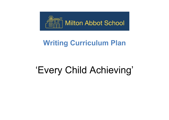

## **Writing Curriculum Plan**

## 'Every Child Achieving'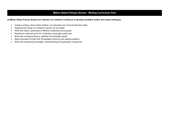## **Milton Abbot Primary School - Writing Curriculum Plan**

**At Milton Abbot Primary School our intention for children's writing is to develop confident writers who enjoy writing by:**

- Create a writing culture where children can articulate and communicate their ideas
- Organise their ideas in a coherent manner for the reader
- Write with clarity, awareness of different audiences and purpose
- Develop an extensive and rich vocabulary using high-quality text
- Write with increasing fluency, legibility and ultimately speed
- Spell accurately through their knowledge of phonics and spelling patterns
- Write with increasing knowledge, understanding and application of grammar.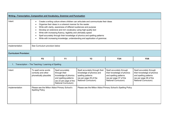| Writing-Transcription, Composition and Vocabulary, Grammar and Punctuation |                                                                                                                                                                                                                                                                                                                                                                                                                                                                                                                     |                                                                                                                                      |                                                                                                                                   |                                                                                                                                   |                                                                                                                                   |  |  |  |
|----------------------------------------------------------------------------|---------------------------------------------------------------------------------------------------------------------------------------------------------------------------------------------------------------------------------------------------------------------------------------------------------------------------------------------------------------------------------------------------------------------------------------------------------------------------------------------------------------------|--------------------------------------------------------------------------------------------------------------------------------------|-----------------------------------------------------------------------------------------------------------------------------------|-----------------------------------------------------------------------------------------------------------------------------------|-----------------------------------------------------------------------------------------------------------------------------------|--|--|--|
| Intent                                                                     | Create a writing culture where children can articulate and communicate their ideas<br>Organise their ideas in a coherent manner for the reader<br>Write with clarity, awareness of different audiences and purpose<br>Develop an extensive and rich vocabulary using high-quality text<br>Write with increasing fluency, legibility and ultimately speed<br>Spell accurately through their knowledge of phonics and spelling patterns<br>Write with increasing knowledge, understanding and application of grammar. |                                                                                                                                      |                                                                                                                                   |                                                                                                                                   |                                                                                                                                   |  |  |  |
| Implementation                                                             | See Curriculum provision below                                                                                                                                                                                                                                                                                                                                                                                                                                                                                      |                                                                                                                                      |                                                                                                                                   |                                                                                                                                   |                                                                                                                                   |  |  |  |
| <b>Curriculum Provision:</b>                                               |                                                                                                                                                                                                                                                                                                                                                                                                                                                                                                                     |                                                                                                                                      |                                                                                                                                   |                                                                                                                                   |                                                                                                                                   |  |  |  |
|                                                                            | <b>FS</b>                                                                                                                                                                                                                                                                                                                                                                                                                                                                                                           | <b>Y1</b>                                                                                                                            | <b>Y2</b>                                                                                                                         | Y3/4                                                                                                                              | Y5/6                                                                                                                              |  |  |  |
| Transcription - The Teaching / Learning of Spelling                        |                                                                                                                                                                                                                                                                                                                                                                                                                                                                                                                     |                                                                                                                                      |                                                                                                                                   |                                                                                                                                   |                                                                                                                                   |  |  |  |
| Intent                                                                     | To spell some words<br>correctly and other<br>phonetically plausible                                                                                                                                                                                                                                                                                                                                                                                                                                                | Spell accurately<br>through their<br>knowledge of phonics<br>and spelling patterns<br>(as 22 per page of the<br>National Curriculum) | Spell accurately through their<br>knowledge of phonics and<br>spelling patterns<br>(as per page 29 of the<br>National Curriculum) | Spell accurately through<br>their knowledge of phonics<br>and spelling patterns<br>(as per page 37 of the<br>National Curriculum) | Spell accurately through<br>their knowledge of phonics<br>and spelling patterns<br>(as per page 46 of the<br>National Curriculum) |  |  |  |
| Implementation                                                             | Please see the Milton Abbot Primary School's<br><b>Spelling Policy</b>                                                                                                                                                                                                                                                                                                                                                                                                                                              |                                                                                                                                      | Please see the Milton Abbot Primary School's Spelling Policy                                                                      |                                                                                                                                   |                                                                                                                                   |  |  |  |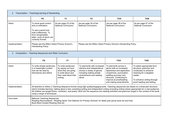| Transcription - Teaching/Learning of Handwriting<br>2.      |                                                                                                                                                                                                                                                                                                                                                                                                                                                                                               |                                                                                                                            |                                                                                                                                                      |                                                                                                                                                                                                                      |                                                                                                                                                                                 |  |  |
|-------------------------------------------------------------|-----------------------------------------------------------------------------------------------------------------------------------------------------------------------------------------------------------------------------------------------------------------------------------------------------------------------------------------------------------------------------------------------------------------------------------------------------------------------------------------------|----------------------------------------------------------------------------------------------------------------------------|------------------------------------------------------------------------------------------------------------------------------------------------------|----------------------------------------------------------------------------------------------------------------------------------------------------------------------------------------------------------------------|---------------------------------------------------------------------------------------------------------------------------------------------------------------------------------|--|--|
|                                                             | <b>FS</b>                                                                                                                                                                                                                                                                                                                                                                                                                                                                                     | Y1                                                                                                                         | <b>Y2</b>                                                                                                                                            | Y3/4                                                                                                                                                                                                                 | Y5/6                                                                                                                                                                            |  |  |
| Intent                                                      | To show good control<br>and co-ordination.<br>To use a pencil and<br>hold it effectively. To<br>form recognisable<br>letter, most of which are<br>correctly formed                                                                                                                                                                                                                                                                                                                            | As per page 23 of the<br>National Curriculum)                                                                              | (as per page 30 of the<br>National Curriculum)                                                                                                       | (as per page 38 of the<br>National Curriculum)                                                                                                                                                                       | As per page 47 of the<br><b>National Curriculum</b>                                                                                                                             |  |  |
| Implementation                                              | Please see the Milton Abbot Primary School's<br><b>Handwriting Policy</b>                                                                                                                                                                                                                                                                                                                                                                                                                     |                                                                                                                            | Please see the Milton Abbot Primary School's Handwriting Policy                                                                                      |                                                                                                                                                                                                                      |                                                                                                                                                                                 |  |  |
| Composition - Teaching Sequences and Wider Curriculum<br>3. |                                                                                                                                                                                                                                                                                                                                                                                                                                                                                               |                                                                                                                            |                                                                                                                                                      |                                                                                                                                                                                                                      |                                                                                                                                                                                 |  |  |
|                                                             | <b>FS</b>                                                                                                                                                                                                                                                                                                                                                                                                                                                                                     | Y1                                                                                                                         | <b>Y2</b>                                                                                                                                            | Y3/4                                                                                                                                                                                                                 | Y5/6                                                                                                                                                                            |  |  |
| Intent                                                      | To write simple sentences<br>in a meaningful context<br>that can be read by<br>themselves and others                                                                                                                                                                                                                                                                                                                                                                                          | To write sentences<br>by saying out loud<br>what they are going<br>to write about and<br>then read aloud their<br>writing. | To plan/write with increased<br>stamina and independence<br>across a variety of genres<br>including making simple<br>amendments and reading<br>aloud | To plan/write across a<br>genre with an increased<br>awareness and application<br>of grammar, punctuation,<br>spelling accuracy and<br>structure. Continuing to<br>improve at proofreading<br>and making amendments. | To select appropriate form,<br>structure, grammar and<br>vocabulary to enhance<br>meaning for a targeted<br>reader.<br>To enhance writing through<br>proof reading and editing. |  |  |
| Implementation                                              | All teachers to follow a Teaching Sequence format using high quality/engaging texts. Teaching sequences are based on a three-part structure<br>which includes learning / talking about a text, practising writing and independent writing (including writing where appropriate for a real audience).<br>All children are taught fiction, nonfiction, and poetry. Built into the sequence are reading activities and grammar taught in the context of the book<br>using a range of techniques. |                                                                                                                            |                                                                                                                                                      |                                                                                                                                                                                                                      |                                                                                                                                                                                 |  |  |
| Core texts                                                  | <b>Babcock Teaching Sequences</b><br>Reading Reconsidered - Reading Spine Text Selector for Primary Schools' for detail year group book list and links<br>Book Band Guided Reading Sets etc                                                                                                                                                                                                                                                                                                   |                                                                                                                            |                                                                                                                                                      |                                                                                                                                                                                                                      |                                                                                                                                                                                 |  |  |